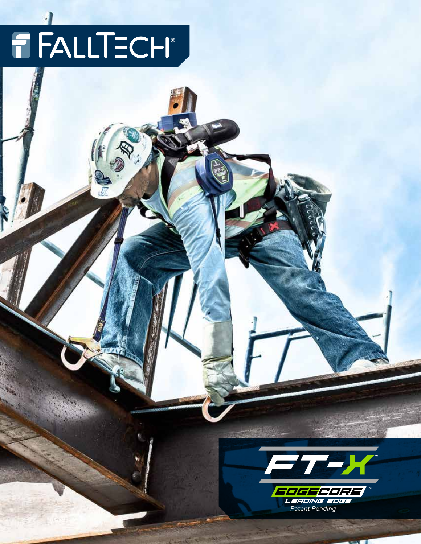# FALLTECH®

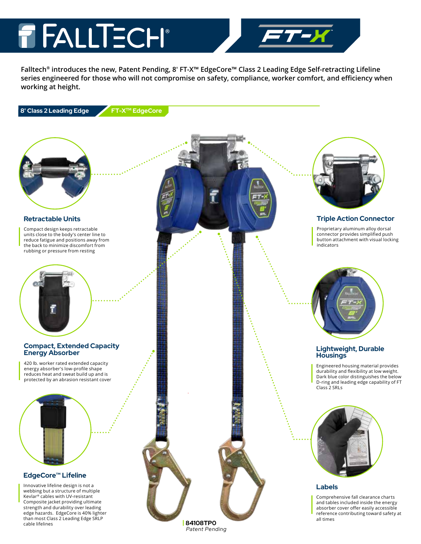### T FALLTECH®

**Falltech® introduces the new, Patent Pending, 8' FT-X™ EdgeCore™ Class 2 Leading Edge Self-retracting Lifeline series engineered for those who will not compromise on safety, compliance, worker comfort, and efficiency when working at height.**





### **Retractable Units**

Compact design keeps retractable units close to the body's center line to reduce fatigue and positions away from the back to minimize discomfort from rubbing or pressure from resting



### **Compact, Extended Capacity Energy Absorber**

420 lb. worker rated extended capacity energy absorber's low-profile shape reduces heat and sweat build up and is protected by an abrasion resistant cover

### **EdgeCore™ Lifeline**

Innovative lifeline design is not a webbing but a structure of multiple Kevlar® cables with UV-resistant Composite jacket providing ultimate strength and durability over leading edge hazards. EdgeCore is 40% lighter than most Class 2 Leading Edge SRLP cable lifelines



### **Triple Action Connector**

Proprietary aluminum alloy dorsal connector provides simplified push button attachment with visual locking indicators



### **Lightweight, Durable Housings**

Engineered housing material provides durability and flexibility at low weight. Dark blue color distinguishes the below D-ring and leading edge capability of FT Class 2 SRLs



### **Labels**

Comprehensive fall clearance charts and tables included inside the energy absorber cover offer easily accessible reference contributing toward safety at all times

**| 84108TP0** *Patent Pending*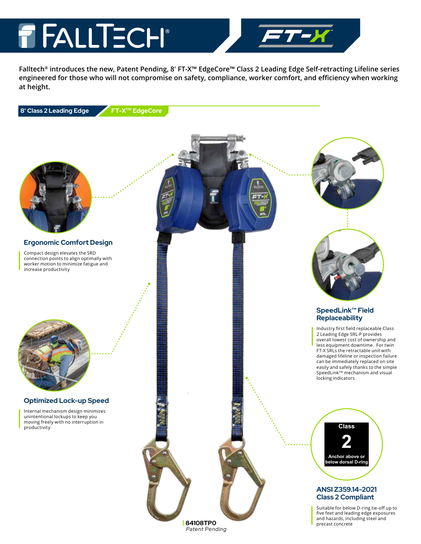### T FALLTECH®

**Falltech® introduces the new, Patent Pending, 8' FT-X™ EdgeCore™ Class 2 Leading Edge Self-retracting Lifeline series engineered for those who will not compromise on safety, compliance, worker comfort, and efficiency when working at height.**

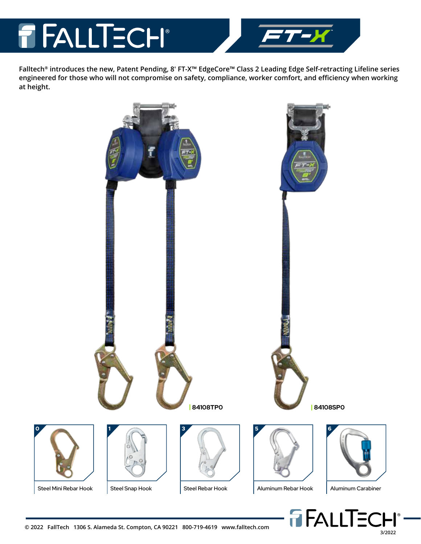### **T FALLTECH®**



**Falltech® introduces the new, Patent Pending, 8' FT-X™ EdgeCore™ Class 2 Leading Edge Self-retracting Lifeline series engineered for those who will not compromise on safety, compliance, worker comfort, and efficiency when working at height.**

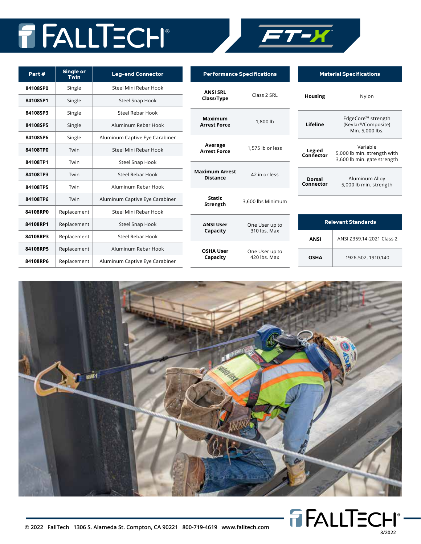## FALLTECH®



| Part#    | Single or<br>Twin | <b>Leg-end Connector</b>       |
|----------|-------------------|--------------------------------|
| 84108SP0 | Single            | Steel Mini Rebar Hook          |
| 84108SP1 | Single            | <b>Steel Snap Hook</b>         |
| 84108SP3 | Single            | Steel Rebar Hook               |
| 84108SP5 | Single            | Aluminum Rebar Hook            |
| 84108SP6 | Single            | Aluminum Captive Eye Carabiner |
| 84108TP0 | Twin              | Steel Mini Rebar Hook          |
| 84108TP1 | Twin              | Steel Snap Hook                |
| 84108TP3 | Twin              | Steel Rebar Hook               |
| 84108TP5 | Twin              | Aluminum Rebar Hook            |
| 84108TP6 | Twin              | Aluminum Captive Eye Carabiner |
| 84108RP0 | Replacement       | Steel Mini Rebar Hook          |
| 84108RP1 | Replacement       | <b>Steel Snap Hook</b>         |
| 84108RP3 | Replacement       | Steel Rebar Hook               |
| 84108RP5 | Replacement       | Aluminum Rebar Hook            |
| 84108RP6 | Replacement       | Aluminum Captive Eye Carabiner |

| <b>Performance Specifications</b>        |                                |  |    |
|------------------------------------------|--------------------------------|--|----|
| <b>ANSI SRL</b><br>Class/Type            | Class 2 SRL                    |  | ı  |
| <b>Maximum</b><br><b>Arrest Force</b>    | 1,800 lb                       |  |    |
| Average<br><b>Arrest Force</b>           | 1,575 lb or less               |  | C٥ |
| <b>Maximum Arrest</b><br><b>Distance</b> | 42 in or less                  |  | C) |
| <b>Static</b><br>Strength                | 3,600 lbs Minimum              |  |    |
| <b>ANSI User</b><br>Capacity             | One User up to<br>310 lbs. Max |  |    |
| <b>OSHA User</b><br>Capacity             | One User up to<br>420 lbs. Max |  |    |

| <b>Material Specifications</b> |                                                                        |  |
|--------------------------------|------------------------------------------------------------------------|--|
| Housing                        | Nylon                                                                  |  |
| Lifeline                       | EdgeCore™ strength<br>(Kevlar®/Composite)<br>Min. 5,000 lbs.           |  |
| Leg-ed<br>Connector            | Variable<br>5,000 lb min, strength with<br>3,600 lb min. gate strength |  |
| Dorsal<br>Connector            | Aluminum Alloy<br>5,000 lb min. strength                               |  |

| <b>Relevant Standards</b> |                           |  |
|---------------------------|---------------------------|--|
| ANSI                      | ANSI Z359.14-2021 Class 2 |  |
| <b>OSHA</b>               | 1926.502, 1910.140        |  |